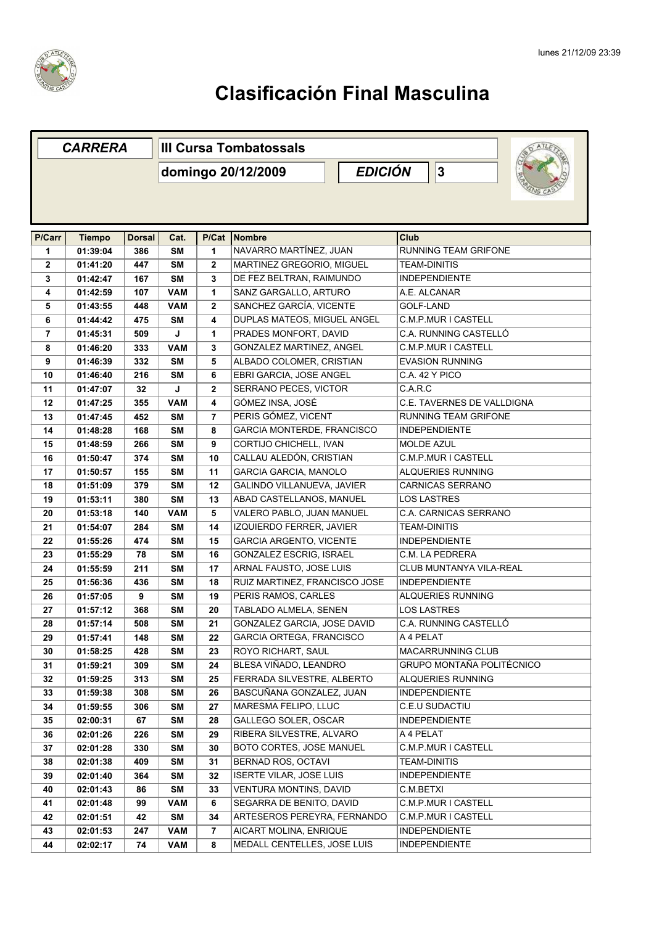

|              | <b>CARRERA</b> |               | <b>III Cursa Tombatossals</b> |             |                                 |                              |  |  |
|--------------|----------------|---------------|-------------------------------|-------------|---------------------------------|------------------------------|--|--|
|              |                |               | domingo 20/12/2009            |             | <b>EDICIÓN</b><br>3             |                              |  |  |
|              |                |               |                               |             |                                 |                              |  |  |
|              |                |               |                               |             |                                 |                              |  |  |
|              |                |               |                               |             |                                 |                              |  |  |
| P/Carr       | <b>Tiempo</b>  | <b>Dorsal</b> | Cat.                          | P/Cat       | Nombre                          | Club                         |  |  |
| 1            | 01:39:04       | 386           | <b>SM</b>                     | 1           | NAVARRO MARTÍNEZ, JUAN          | <b>RUNNING TEAM GRIFONE</b>  |  |  |
| $\mathbf{2}$ | 01:41:20       | 447           | <b>SM</b>                     | 2           | MARTINEZ GREGORIO, MIGUEL       | <b>TEAM-DINITIS</b>          |  |  |
| 3            | 01:42:47       | 167           | <b>SM</b>                     | 3           | DE FEZ BELTRAN, RAIMUNDO        | <b>INDEPENDIENTE</b>         |  |  |
| 4            | 01:42:59       | 107           | <b>VAM</b>                    | 1           | SANZ GARGALLO, ARTURO           | A.E. ALCANAR                 |  |  |
| 5            | 01:43:55       | 448           | <b>VAM</b>                    | 2           | SANCHEZ GARCÍA, VICENTE         | <b>GOLF-LAND</b>             |  |  |
| 6            | 01:44:42       | 475           | <b>SM</b>                     | 4           | DUPLAS MATEOS, MIGUEL ANGEL     | C.M.P.MUR I CASTELL          |  |  |
| 7            | 01:45:31       | 509           | J                             | 1           | PRADES MONFORT, DAVID           | C.A. RUNNING CASTELLÓ        |  |  |
| 8            | 01:46:20       | 333           | <b>VAM</b>                    | 3           | GONZALEZ MARTINEZ, ANGEL        | C.M.P.MUR I CASTELL          |  |  |
| 9            | 01:46:39       | 332           | <b>SM</b>                     | 5           | ALBADO COLOMER, CRISTIAN        | <b>EVASION RUNNING</b>       |  |  |
| 10           | 01:46:40       | 216           | <b>SM</b>                     | 6           | EBRI GARCIA, JOSE ANGEL         | C.A. 42 Y PICO               |  |  |
| 11           | 01:47:07       | 32            | J                             | $\mathbf 2$ | SERRANO PECES, VICTOR           | C.A.R.C                      |  |  |
| 12           | 01:47:25       | 355           | <b>VAM</b>                    | 4           | GÓMEZ INSA, JOSÉ                | C.E. TAVERNES DE VALLDIGNA   |  |  |
| 13           | 01:47:45       | 452           | <b>SM</b>                     | 7           | PERIS GÓMEZ, VICENT             | RUNNING TEAM GRIFONE         |  |  |
| 14           | 01:48:28       | 168           | <b>SM</b>                     | 8           | GARCIA MONTERDE, FRANCISCO      | <b>INDEPENDIENTE</b>         |  |  |
| 15           | 01:48:59       | 266           | <b>SM</b>                     | 9           | CORTIJO CHICHELL, IVAN          | <b>MOLDE AZUL</b>            |  |  |
| 16           | 01:50:47       | 374           | <b>SM</b>                     | 10          | CALLAU ALEDÓN, CRISTIAN         | C.M.P.MUR I CASTELL          |  |  |
| 17           | 01:50:57       | 155           | <b>SM</b>                     | 11          | GARCIA GARCIA, MANOLO           | ALQUERIES RUNNING            |  |  |
| 18           | 01:51:09       | 379           | <b>SM</b>                     | 12          | GALINDO VILLANUEVA, JAVIER      | <b>CARNICAS SERRANO</b>      |  |  |
| 19           | 01:53:11       | 380           | <b>SM</b>                     | 13          | ABAD CASTELLANOS, MANUEL        | <b>LOS LASTRES</b>           |  |  |
| 20           | 01:53:18       | 140           | <b>VAM</b>                    | 5           | VALERO PABLO, JUAN MANUEL       | <b>C.A. CARNICAS SERRANO</b> |  |  |
| 21           | 01:54:07       | 284           | <b>SM</b>                     | 14          | IZQUIERDO FERRER, JAVIER        | <b>TEAM-DINITIS</b>          |  |  |
| 22           | 01:55:26       | 474           | <b>SM</b>                     | 15          | <b>GARCIA ARGENTO, VICENTE</b>  | <b>INDEPENDIENTE</b>         |  |  |
| 23           | 01:55:29       | 78            | <b>SM</b>                     | 16          | GONZALEZ ESCRIG, ISRAEL         | C.M. LA PEDRERA              |  |  |
| 24           | 01:55:59       | 211           | <b>SM</b>                     | 17          | ARNAL FAUSTO, JOSE LUIS         | CLUB MUNTANYA VILA-REAL      |  |  |
| 25           | 01:56:36       | 436           | <b>SM</b>                     | 18          | RUIZ MARTINEZ, FRANCISCO JOSE   | <b>INDEPENDIENTE</b>         |  |  |
| 26           | 01:57:05       | 9             | <b>SM</b>                     | 19          | PERIS RAMOS, CARLES             | ALQUERIES RUNNING            |  |  |
| 27           | 01:57:12       | 368           | <b>SM</b>                     | 20          | TABLADO ALMELA, SENEN           | <b>LOS LASTRES</b>           |  |  |
| 28           | 01:57:14       | 508           | <b>SM</b>                     | 21          | GONZALEZ GARCIA, JOSE DAVID     | C.A. RUNNING CASTELLÓ        |  |  |
| 29           | 01:57:41       | 148           | SM                            | 22          | <b>GARCIA ORTEGA, FRANCISCO</b> | A 4 PELAT                    |  |  |
| 30           | 01:58:25       | 428           | <b>SM</b>                     | 23          | <b>ROYO RICHART, SAUL</b>       | MACARRUNNING CLUB            |  |  |
| 31           | 01:59:21       | 309           | SM                            | 24          | BLESA VIÑADO, LEANDRO           | GRUPO MONTAÑA POLITÉCNICO    |  |  |
| 32           | 01:59:25       | 313           | SM                            | 25          | FERRADA SILVESTRE, ALBERTO      | ALQUERIES RUNNING            |  |  |
| 33           | 01:59:38       | 308           | SM                            | 26          | BASCUÑANA GONZALEZ, JUAN        | <b>INDEPENDIENTE</b>         |  |  |
| 34           | 01:59:55       | 306           | SM                            | 27          | MARESMA FELIPO, LLUC            | C.E.U SUDACTIU               |  |  |
| 35           | 02:00:31       | 67            | <b>SM</b>                     | 28          | GALLEGO SOLER, OSCAR            | <b>INDEPENDIENTE</b>         |  |  |
| 36           | 02:01:26       | 226           | SM                            | 29          | RIBERA SILVESTRE, ALVARO        | A 4 PELAT                    |  |  |
| 37           | 02:01:28       | 330           | SM                            | 30          | <b>BOTO CORTES, JOSE MANUEL</b> | C.M.P.MUR I CASTELL          |  |  |
| 38           | 02:01:38       | 409           | <b>SM</b>                     | 31          | BERNAD ROS, OCTAVI              | <b>TEAM-DINITIS</b>          |  |  |
| 39           | 02:01:40       | 364           | <b>SM</b>                     | 32          | <b>ISERTE VILAR, JOSE LUIS</b>  | <b>INDEPENDIENTE</b>         |  |  |
| 40           | 02:01:43       | 86            | <b>SM</b>                     | 33          | <b>VENTURA MONTINS, DAVID</b>   | C.M.BETXI                    |  |  |
| 41           | 02:01:48       | 99            | <b>VAM</b>                    | 6           | SEGARRA DE BENITO, DAVID        | C.M.P.MUR I CASTELL          |  |  |
| 42           | 02:01:51       | 42            | SM                            | 34          | ARTESEROS PEREYRA, FERNANDO     | C.M.P.MUR I CASTELL          |  |  |
| 43           | 02:01:53       | 247           | <b>VAM</b>                    | 7           | AICART MOLINA, ENRIQUE          | <b>INDEPENDIENTE</b>         |  |  |
| 44           | 02:02:17       | 74            | <b>VAM</b>                    | 8           | MEDALL CENTELLES, JOSE LUIS     | <b>INDEPENDIENTE</b>         |  |  |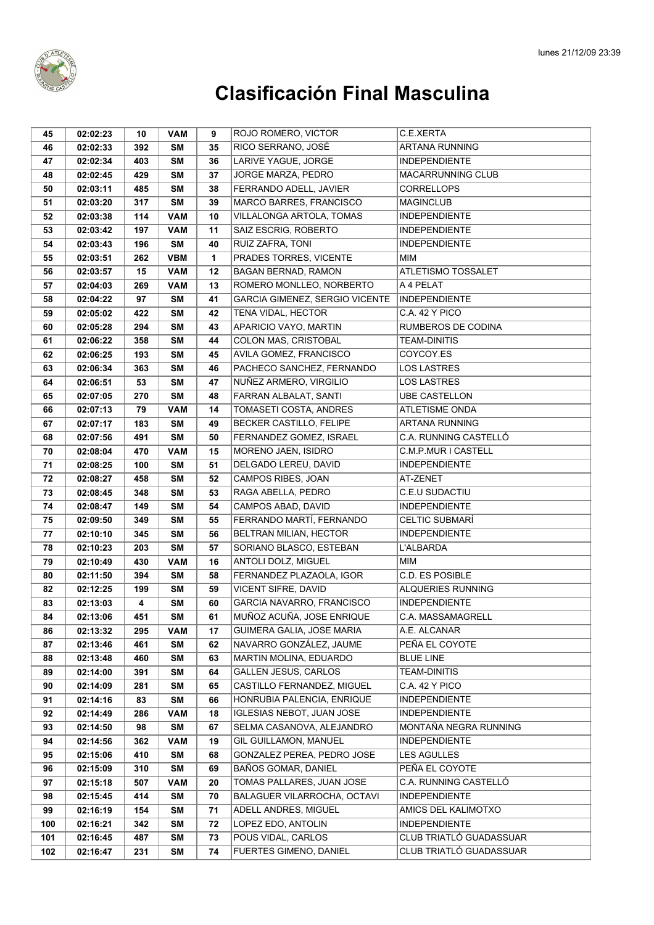

| 45  | 02:02:23 | 10  | <b>VAM</b> | 9            | ROJO ROMERO, VICTOR                | C.E.XERTA                |
|-----|----------|-----|------------|--------------|------------------------------------|--------------------------|
| 46  | 02:02:33 | 392 | SΜ         | 35           | RICO SERRANO, JOSÉ                 | ARTANA RUNNING           |
| 47  | 02:02:34 | 403 | <b>SM</b>  | 36           | LARIVE YAGUE, JORGE                | <b>INDEPENDIENTE</b>     |
| 48  | 02:02:45 | 429 | <b>SM</b>  | 37           | JORGE MARZA, PEDRO                 | <b>MACARRUNNING CLUB</b> |
| 50  | 02:03:11 | 485 | <b>SM</b>  | 38           | FERRANDO ADELL, JAVIER             | <b>CORRELLOPS</b>        |
| 51  | 02:03:20 | 317 | <b>SM</b>  | 39           | MARCO BARRES, FRANCISCO            | <b>MAGINCLUB</b>         |
| 52  | 02:03:38 | 114 | <b>VAM</b> | 10           | VILLALONGA ARTOLA, TOMAS           | <b>INDEPENDIENTE</b>     |
| 53  | 02:03:42 | 197 | <b>VAM</b> | 11           | SAIZ ESCRIG, ROBERTO               | <b>INDEPENDIENTE</b>     |
| 54  | 02:03:43 | 196 | <b>SM</b>  | 40           | RUIZ ZAFRA, TONI                   | <b>INDEPENDIENTE</b>     |
| 55  | 02:03:51 | 262 | <b>VBM</b> | $\mathbf{1}$ | PRADES TORRES, VICENTE             | <b>MIM</b>               |
| 56  | 02:03:57 | 15  | <b>VAM</b> | 12           | <b>BAGAN BERNAD, RAMON</b>         | ATLETISMO TOSSALET       |
| 57  | 02:04:03 | 269 | <b>VAM</b> | 13           | ROMERO MONLLEO, NORBERTO           | A 4 PELAT                |
| 58  | 02:04:22 | 97  | SΜ         | 41           | GARCIA GIMENEZ, SERGIO VICENTE     | <b>INDEPENDIENTE</b>     |
| 59  | 02:05:02 | 422 | <b>SM</b>  | 42           | TENA VIDAL, HECTOR                 | C.A. 42 Y PICO           |
| 60  | 02:05:28 | 294 | <b>SM</b>  | 43           | APARICIO VAYO, MARTIN              | RUMBEROS DE CODINA       |
| 61  | 02:06:22 | 358 | <b>SM</b>  | 44           | COLON MAS, CRISTOBAL               | <b>TEAM-DINITIS</b>      |
| 62  | 02:06:25 | 193 | <b>SM</b>  | 45           | AVILA GOMEZ, FRANCISCO             | COYCOY.ES                |
| 63  | 02:06:34 | 363 | <b>SM</b>  | 46           | PACHECO SANCHEZ, FERNANDO          | <b>LOS LASTRES</b>       |
| 64  | 02:06:51 | 53  | <b>SM</b>  | 47           | NUÑEZ ARMERO, VIRGILIO             | <b>LOS LASTRES</b>       |
| 65  | 02:07:05 | 270 | <b>SM</b>  | 48           | FARRAN ALBALAT, SANTI              | <b>UBE CASTELLON</b>     |
| 66  | 02:07:13 | 79  | <b>VAM</b> | 14           | TOMASETI COSTA, ANDRES             | <b>ATLETISME ONDA</b>    |
| 67  | 02:07:17 | 183 | <b>SM</b>  | 49           | <b>BECKER CASTILLO, FELIPE</b>     | ARTANA RUNNING           |
| 68  | 02:07:56 | 491 | <b>SM</b>  | 50           | FERNANDEZ GOMEZ, ISRAEL            | C.A. RUNNING CASTELLÓ    |
| 70  | 02:08:04 | 470 | <b>VAM</b> | 15           | MORENO JAEN, ISIDRO                | C.M.P.MUR I CASTELL      |
| 71  | 02:08:25 | 100 | <b>SM</b>  | 51           | DELGADO LEREU, DAVID               | <b>INDEPENDIENTE</b>     |
| 72  | 02:08:27 | 458 | <b>SM</b>  | 52           | CAMPOS RIBES, JOAN                 | AT-ZENET                 |
| 73  | 02:08:45 | 348 | <b>SM</b>  | 53           | RAGA ABELLA, PEDRO                 | C.E.U SUDACTIU           |
| 74  | 02:08:47 | 149 | <b>SM</b>  | 54           | CAMPOS ABAD, DAVID                 | <b>INDEPENDIENTE</b>     |
| 75  | 02:09:50 | 349 | <b>SM</b>  | 55           | FERRANDO MARTÍ, FERNANDO           | <b>CELTIC SUBMARÍ</b>    |
| 77  | 02:10:10 | 345 | <b>SM</b>  | 56           | BELTRAN MILIAN, HECTOR             | <b>INDEPENDIENTE</b>     |
| 78  | 02:10:23 | 203 | <b>SM</b>  | 57           | SORIANO BLASCO, ESTEBAN            | <b>L'ALBARDA</b>         |
| 79  | 02:10:49 | 430 | <b>VAM</b> | 16           | ANTOLI DOLZ, MIGUEL                | MIM                      |
| 80  | 02:11:50 | 394 | SΜ         | 58           | FERNANDEZ PLAZAOLA, IGOR           | C.D. ES POSIBLE          |
| 82  | 02:12:25 | 199 | SΜ         | 59           | VICENT SIFRE, DAVID                | ALQUERIES RUNNING        |
| 83  | 02:13:03 | 4   | <b>SM</b>  | 60           | GARCIA NAVARRO, FRANCISCO          | <b>INDEPENDIENTE</b>     |
| 84  | 02:13:06 | 451 | <b>SM</b>  | 61           | MUÑOZ ACUÑA, JOSE ENRIQUE          | C.A. MASSAMAGRELL        |
| 86  | 02:13:32 | 295 | <b>VAM</b> | 17           | GUIMERA GALIA, JOSE MARIA          | A.E. ALCANAR             |
| 87  | 02:13:46 | 461 | <b>SM</b>  | 62           | NAVARRO GONZÁLEZ, JAUME            | PEÑA EL COYOTE           |
| 88  | 02:13:48 | 460 | <b>SM</b>  | 63           | MARTIN MOLINA, EDUARDO             | <b>BLUE LINE</b>         |
| 89  | 02:14:00 | 391 | <b>SM</b>  | 64           | <b>GALLEN JESUS, CARLOS</b>        | <b>TEAM-DINITIS</b>      |
| 90  | 02:14:09 | 281 | <b>SM</b>  | 65           | <b>CASTILLO FERNANDEZ. MIGUEL</b>  | C.A. 42 Y PICO           |
| 91  | 02:14:16 | 83  | <b>SM</b>  | 66           | HONRUBIA PALENCIA, ENRIQUE         | <b>INDEPENDIENTE</b>     |
| 92  | 02:14:49 | 286 | <b>VAM</b> | 18           | <b>IGLESIAS NEBOT, JUAN JOSE</b>   | <b>INDEPENDIENTE</b>     |
| 93  | 02:14:50 | 98  | SΜ         | 67           | SELMA CASANOVA, ALEJANDRO          | MONTAÑA NEGRA RUNNING    |
| 94  | 02:14:56 | 362 | VAM        | 19           | GIL GUILLAMON, MANUEL              | <b>INDEPENDIENTE</b>     |
| 95  | 02:15:06 | 410 | <b>SM</b>  | 68           | GONZALEZ PEREA. PEDRO JOSE         | <b>LES AGULLES</b>       |
| 96  | 02:15:09 | 310 | <b>SM</b>  | 69           | BAÑOS GOMAR, DANIEL                | PEÑA EL COYOTE           |
| 97  | 02:15:18 | 507 | <b>VAM</b> | 20           | TOMAS PALLARES, JUAN JOSE          | C.A. RUNNING CASTELLÓ    |
| 98  | 02:15:45 | 414 | SΜ         | 70           | <b>BALAGUER VILARROCHA, OCTAVI</b> | <b>INDEPENDIENTE</b>     |
| 99  | 02:16:19 | 154 | <b>SM</b>  | 71           | ADELL ANDRES, MIGUEL               | AMICS DEL KALIMOTXO      |
| 100 | 02:16:21 | 342 | <b>SM</b>  | 72           | LOPEZ EDO, ANTOLIN                 | <b>INDEPENDIENTE</b>     |
| 101 | 02:16:45 | 487 | SΜ         | 73           | POUS VIDAL, CARLOS                 | CLUB TRIATLÓ GUADASSUAR  |
| 102 | 02:16:47 | 231 | <b>SM</b>  | 74           | FUERTES GIMENO, DANIEL             | CLUB TRIATLÓ GUADASSUAR  |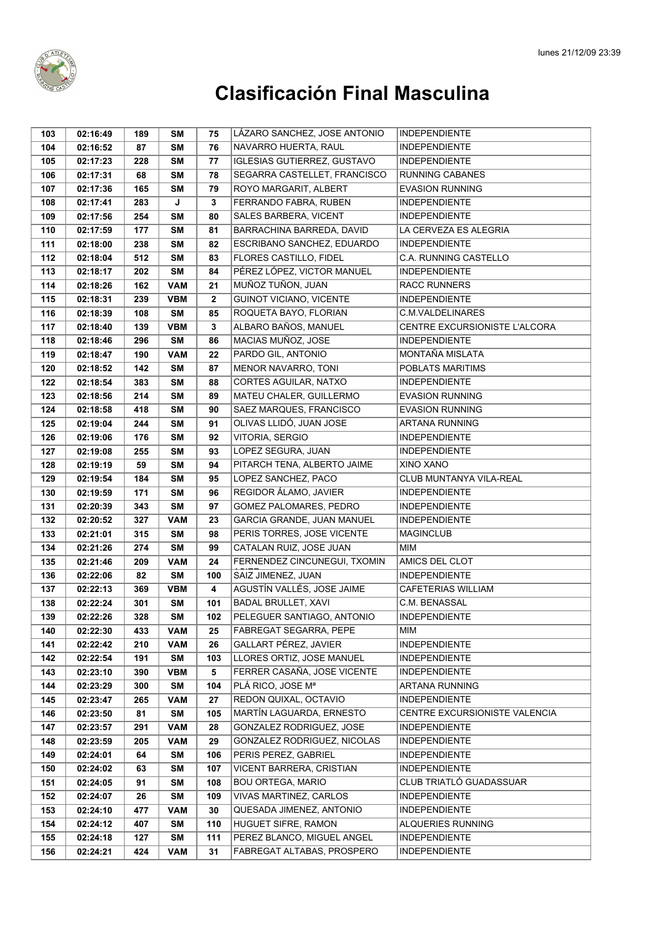

| 103 | 02:16:49 | 189 | SΜ         | 75           | LÁZARO SANCHEZ, JOSE ANTONIO       | <b>INDEPENDIENTE</b>          |
|-----|----------|-----|------------|--------------|------------------------------------|-------------------------------|
| 104 | 02:16:52 | 87  | <b>SM</b>  | 76           | NAVARRO HUERTA, RAUL               | <b>INDEPENDIENTE</b>          |
| 105 | 02:17:23 | 228 | <b>SM</b>  | 77           | <b>IGLESIAS GUTIERREZ, GUSTAVO</b> | <b>INDEPENDIENTE</b>          |
| 106 | 02:17:31 | 68  | <b>SM</b>  | 78           | SEGARRA CASTELLET, FRANCISCO       | <b>RUNNING CABANES</b>        |
| 107 | 02:17:36 | 165 | <b>SM</b>  | 79           | ROYO MARGARIT, ALBERT              | <b>EVASION RUNNING</b>        |
| 108 | 02:17:41 | 283 | J          | 3            | FERRANDO FABRA, RUBEN              | <b>INDEPENDIENTE</b>          |
| 109 | 02:17:56 | 254 | <b>SM</b>  | 80           | SALES BARBERA, VICENT              | <b>INDEPENDIENTE</b>          |
| 110 | 02:17:59 | 177 | <b>SM</b>  | 81           | BARRACHINA BARREDA, DAVID          | LA CERVEZA ES ALEGRIA         |
| 111 | 02:18:00 | 238 | <b>SM</b>  | 82           | ESCRIBANO SANCHEZ, EDUARDO         | <b>INDEPENDIENTE</b>          |
| 112 | 02:18:04 | 512 | <b>SM</b>  | 83           | FLORES CASTILLO, FIDEL             | C.A. RUNNING CASTELLO         |
| 113 | 02:18:17 | 202 | <b>SM</b>  | 84           | PÉREZ LÓPEZ, VICTOR MANUEL         | <b>INDEPENDIENTE</b>          |
| 114 | 02:18:26 | 162 | <b>VAM</b> | 21           | MUÑOZ TUÑON, JUAN                  | <b>RACC RUNNERS</b>           |
| 115 | 02:18:31 | 239 | <b>VBM</b> | $\mathbf{2}$ | <b>GUINOT VICIANO, VICENTE</b>     | <b>INDEPENDIENTE</b>          |
| 116 | 02:18:39 | 108 | <b>SM</b>  | 85           | ROQUETA BAYO, FLORIAN              | <b>C.M.VALDELINARES</b>       |
| 117 | 02:18:40 | 139 | <b>VBM</b> | 3            | ALBARO BAÑOS, MANUEL               | CENTRE EXCURSIONISTE L'ALCORA |
| 118 | 02:18:46 | 296 | <b>SM</b>  | 86           | MACIAS MUÑOZ, JOSE                 | <b>INDEPENDIENTE</b>          |
| 119 | 02:18:47 | 190 | <b>VAM</b> | 22           | PARDO GIL, ANTONIO                 | MONTAÑA MISLATA               |
| 120 | 02:18:52 | 142 | <b>SM</b>  | 87           | MENOR NAVARRO, TONI                | POBLATS MARITIMS              |
| 122 | 02:18:54 | 383 | <b>SM</b>  | 88           | CORTES AGUILAR, NATXO              | <b>INDEPENDIENTE</b>          |
| 123 | 02:18:56 | 214 | <b>SM</b>  | 89           | MATEU CHALER, GUILLERMO            | <b>EVASION RUNNING</b>        |
| 124 | 02:18:58 | 418 | <b>SM</b>  | 90           | SAEZ MARQUES, FRANCISCO            | <b>EVASION RUNNING</b>        |
| 125 | 02:19:04 | 244 | <b>SM</b>  | 91           | OLIVAS LLIDÓ, JUAN JOSE            | <b>ARTANA RUNNING</b>         |
| 126 | 02:19:06 | 176 | <b>SM</b>  | 92           | VITORIA, SERGIO                    | <b>INDEPENDIENTE</b>          |
| 127 | 02:19:08 | 255 | <b>SM</b>  | 93           | LOPEZ SEGURA, JUAN                 | <b>INDEPENDIENTE</b>          |
| 128 | 02:19:19 | 59  | <b>SM</b>  | 94           | PITARCH TENA, ALBERTO JAIME        | XINO XANO                     |
| 129 | 02:19:54 | 184 | <b>SM</b>  | 95           | LOPEZ SANCHEZ, PACO                | CLUB MUNTANYA VILA-REAL       |
| 130 | 02:19:59 | 171 | <b>SM</b>  | 96           | <b>REGIDOR ÁLAMO, JAVIER</b>       | <b>INDEPENDIENTE</b>          |
| 131 | 02:20:39 | 343 | <b>SM</b>  | 97           | GOMEZ PALOMARES, PEDRO             | <b>INDEPENDIENTE</b>          |
| 132 | 02:20:52 | 327 | <b>VAM</b> | 23           | GARCIA GRANDE, JUAN MANUEL         | <b>INDEPENDIENTE</b>          |
| 133 | 02:21:01 | 315 | <b>SM</b>  | 98           | PERIS TORRES, JOSE VICENTE         | <b>MAGINCLUB</b>              |
| 134 | 02:21:26 | 274 | <b>SM</b>  | 99           | CATALAN RUIZ, JOSE JUAN            | <b>MIM</b>                    |
| 135 | 02:21:46 | 209 | <b>VAM</b> | 24           | FERNENDEZ CINCUNEGUI, TXOMIN       | AMICS DEL CLOT                |
| 136 | 02:22:06 | 82  | <b>SM</b>  | 100          | SAIZ JIMENEZ, JUAN                 | <b>INDEPENDIENTE</b>          |
| 137 | 02:22:13 | 369 | <b>VBM</b> | 4            | AGUSTÍN VALLÉS, JOSE JAIME         | CAFETERIAS WILLIAM            |
| 138 | 02:22:24 | 301 | <b>SM</b>  | 101          | <b>BADAL BRULLET, XAVI</b>         | C.M. BENASSAL                 |
| 139 | 02:22:26 | 328 | <b>SM</b>  | 102          | PELEGUER SANTIAGO, ANTONIO         | <b>INDEPENDIENTE</b>          |
| 140 | 02:22:30 | 433 | <b>VAM</b> | 25           | FABREGAT SEGARRA, PEPE             | MIM                           |
| 141 | 02:22:42 | 210 | <b>VAM</b> | 26           | GALLART PÉREZ, JAVIER              | <b>INDEPENDIENTE</b>          |
| 142 | 02:22:54 | 191 | <b>SM</b>  | 103          | LLORES ORTIZ, JOSE MANUEL          | <b>INDEPENDIENTE</b>          |
| 143 | 02:23:10 | 390 | <b>VBM</b> | 5            | FERRER CASAÑA, JOSE VICENTE        | <b>INDEPENDIENTE</b>          |
| 144 | 02:23:29 | 300 | <b>SM</b>  | 104          | PLÁ RICO. JOSE Mª                  | <b>ARTANA RUNNING</b>         |
| 145 | 02:23:47 | 265 | <b>VAM</b> | 27           | REDON QUIXAL, OCTAVIO              | <b>INDEPENDIENTE</b>          |
| 146 | 02:23:50 | 81  | <b>SM</b>  | 105          | MARTÍN LAGUARDA, ERNESTO           | CENTRE EXCURSIONISTE VALENCIA |
| 147 | 02:23:57 | 291 | <b>VAM</b> | 28           | GONZALEZ RODRIGUEZ, JOSE           | <b>INDEPENDIENTE</b>          |
| 148 | 02:23:59 | 205 | VAM        | 29           | GONZALEZ RODRIGUEZ, NICOLAS        | <b>INDEPENDIENTE</b>          |
| 149 | 02:24:01 | 64  | <b>SM</b>  | 106          | PERIS PEREZ, GABRIEL               | <b>INDEPENDIENTE</b>          |
| 150 | 02:24:02 | 63  | <b>SM</b>  | 107          | VICENT BARRERA, CRISTIAN           | <b>INDEPENDIENTE</b>          |
| 151 | 02:24:05 | 91  | <b>SM</b>  | 108          | <b>BOU ORTEGA, MARIO</b>           | CLUB TRIATLÓ GUADASSUAR       |
| 152 | 02:24:07 | 26  | <b>SM</b>  | 109          | <b>VIVAS MARTINEZ, CARLOS</b>      | <b>INDEPENDIENTE</b>          |
| 153 | 02:24:10 | 477 | VAM        | 30           | QUESADA JIMENEZ, ANTONIO           | <b>INDEPENDIENTE</b>          |
| 154 | 02:24:12 | 407 | <b>SM</b>  | 110          | HUGUET SIFRE, RAMON                | ALQUERIES RUNNING             |
| 155 | 02:24:18 | 127 | <b>SM</b>  | 111          | PEREZ BLANCO, MIGUEL ANGEL         | <b>INDEPENDIENTE</b>          |
| 156 | 02:24:21 | 424 | <b>VAM</b> | 31           | FABREGAT ALTABAS, PROSPERO         | <b>INDEPENDIENTE</b>          |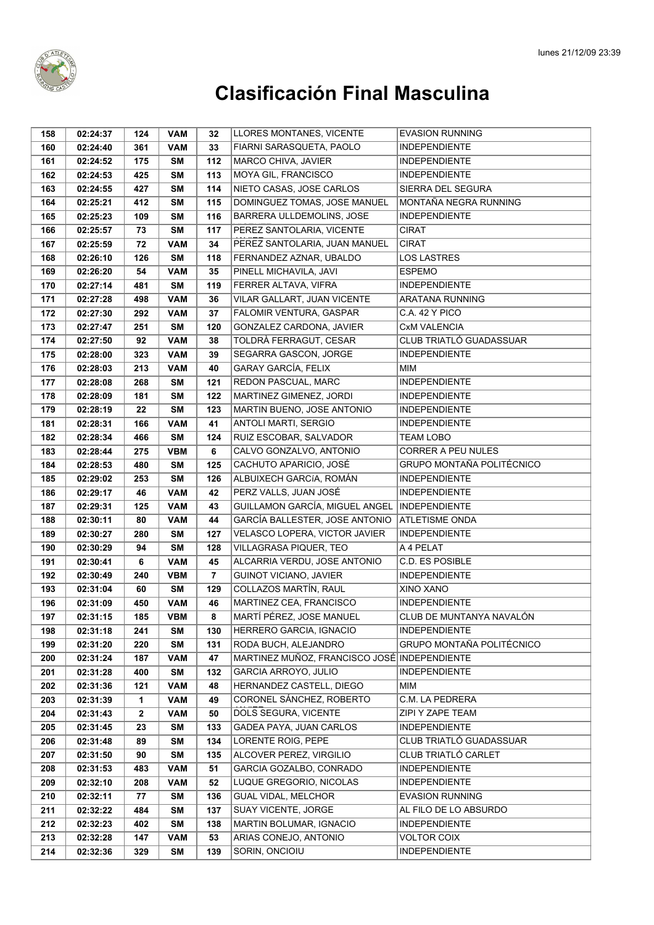

| 158 | 02:24:37 | 124          | <b>VAM</b> | 32             | LLORES MONTANES, VICENTE                     | <b>EVASION RUNNING</b>    |
|-----|----------|--------------|------------|----------------|----------------------------------------------|---------------------------|
| 160 | 02:24:40 | 361          | <b>VAM</b> | 33             | FIARNI SARASQUETA, PAOLO                     | <b>INDEPENDIENTE</b>      |
| 161 | 02:24:52 | 175          | <b>SM</b>  | 112            | MARCO CHIVA, JAVIER                          | <b>INDEPENDIENTE</b>      |
| 162 | 02:24:53 | 425          | <b>SM</b>  | 113            | MOYA GIL, FRANCISCO                          | <b>INDEPENDIENTE</b>      |
| 163 | 02:24:55 | 427          | <b>SM</b>  | 114            | NIETO CASAS, JOSE CARLOS                     | SIERRA DEL SEGURA         |
| 164 | 02:25:21 | 412          | <b>SM</b>  | 115            | DOMINGUEZ TOMAS, JOSE MANUEL                 | MONTAÑA NEGRA RUNNING     |
| 165 | 02:25:23 | 109          | <b>SM</b>  | 116            | BARRERA ULLDEMOLINS, JOSE                    | <b>INDEPENDIENTE</b>      |
| 166 | 02:25:57 | 73           | <b>SM</b>  | 117            | PEREZ SANTOLARIA, VICENTE                    | <b>CIRAT</b>              |
| 167 | 02:25:59 | 72           | <b>VAM</b> | 34             | PEREZ SANTOLARIA, JUAN MANUEL                | <b>CIRAT</b>              |
| 168 | 02:26:10 | 126          | <b>SM</b>  | 118            | FERNANDEZ AZNAR, UBALDO                      | <b>LOS LASTRES</b>        |
| 169 | 02:26:20 | 54           | <b>VAM</b> | 35             | PINELL MICHAVILA, JAVI                       | <b>ESPEMO</b>             |
| 170 | 02:27:14 | 481          | <b>SM</b>  | 119            | FERRER ALTAVA, VIFRA                         | <b>INDEPENDIENTE</b>      |
| 171 | 02:27:28 | 498          | <b>VAM</b> | 36             | VILAR GALLART, JUAN VICENTE                  | ARATANA RUNNING           |
| 172 | 02:27:30 | 292          | <b>VAM</b> | 37             | FALOMIR VENTURA, GASPAR                      | C.A. 42 Y PICO            |
| 173 | 02:27:47 | 251          | <b>SM</b>  | 120            | GONZALEZ CARDONA, JAVIER                     | <b>CxM VALENCIA</b>       |
| 174 | 02:27:50 | 92           | <b>VAM</b> | 38             | TOLDRÀ FERRAGUT, CESAR                       | CLUB TRIATLÓ GUADASSUAR   |
| 175 | 02:28:00 | 323          | <b>VAM</b> | 39             | SEGARRA GASCON, JORGE                        | <b>INDEPENDIENTE</b>      |
| 176 | 02:28:03 | 213          | <b>VAM</b> | 40             | <b>GARAY GARCÍA, FELIX</b>                   | <b>MIM</b>                |
| 177 | 02:28:08 | 268          | <b>SM</b>  | 121            | REDON PASCUAL, MARC                          | <b>INDEPENDIENTE</b>      |
| 178 | 02:28:09 | 181          | <b>SM</b>  | 122            | MARTINEZ GIMENEZ. JORDI                      | <b>INDEPENDIENTE</b>      |
| 179 | 02:28:19 | 22           | <b>SM</b>  | 123            | MARTIN BUENO, JOSE ANTONIO                   | <b>INDEPENDIENTE</b>      |
| 181 | 02:28:31 | 166          | <b>VAM</b> | 41             | <b>ANTOLI MARTI, SERGIO</b>                  | <b>INDEPENDIENTE</b>      |
| 182 | 02:28:34 | 466          | SΜ         | 124            | RUIZ ESCOBAR, SALVADOR                       | <b>TEAM LOBO</b>          |
| 183 | 02:28:44 | 275          | <b>VBM</b> | 6              | CALVO GONZALVO, ANTONIO                      | <b>CORRER A PEU NULES</b> |
| 184 | 02:28:53 | 480          | <b>SM</b>  | 125            | CACHUTO APARICIO, JOSÉ                       | GRUPO MONTAÑA POLITÉCNICO |
| 185 | 02:29:02 | 253          | <b>SM</b>  | 126            | ALBUIXECH GARCÍA, ROMÁN                      | <b>INDEPENDIENTE</b>      |
| 186 | 02:29:17 | 46           | <b>VAM</b> | 42             | PERZ VALLS, JUAN JOSÉ                        | <b>INDEPENDIENTE</b>      |
| 187 | 02:29:31 | 125          | <b>VAM</b> | 43             | GUILLAMON GARCÍA, MIGUEL ANGEL               | <b>INDEPENDIENTE</b>      |
| 188 | 02:30:11 | 80           | <b>VAM</b> | 44             | GARCÍA BALLESTER, JOSE ANTONIO               | <b>ATLETISME ONDA</b>     |
| 189 | 02:30:27 | 280          | <b>SM</b>  | 127            | VELASCO LOPERA, VICTOR JAVIER                | <b>INDEPENDIENTE</b>      |
| 190 | 02:30:29 | 94           | <b>SM</b>  | 128            | VILLAGRASA PIQUER, TEO                       | A 4 PELAT                 |
| 191 | 02:30:41 | 6            | <b>VAM</b> | 45             | ALCARRIA VERDU, JOSE ANTONIO                 | C.D. ES POSIBLE           |
| 192 | 02:30:49 | 240          | <b>VBM</b> | $\overline{7}$ | <b>GUINOT VICIANO, JAVIER</b>                | <b>INDEPENDIENTE</b>      |
| 193 | 02:31:04 | 60           | <b>SM</b>  | 129            | COLLAZOS MARTÍN, RAUL                        | <b>XINO XANO</b>          |
| 196 | 02:31:09 | 450          | <b>VAM</b> | 46             | MARTINEZ CEA, FRANCISCO                      | <b>INDEPENDIENTE</b>      |
| 197 | 02:31:15 | 185          | <b>VBM</b> | 8              | MARTÍ PÉREZ, JOSE MANUEL                     | CLUB DE MUNTANYA NAVALÓN  |
| 198 | 02:31:18 | 241          | <b>SM</b>  | 130            | HERRERO GARCIA, IGNACIO                      | <b>INDEPENDIENTE</b>      |
| 199 | 02:31:20 | 220          | <b>SM</b>  | 131            | RODA BUCH, ALEJANDRO                         | GRUPO MONTAÑA POLITÉCNICO |
| 200 | 02:31:24 | 187          | <b>VAM</b> | 47             | MARTINEZ MUÑOZ. FRANCISCO JOSÉ INDEPENDIENTE |                           |
| 201 | 02:31:28 | 400          | <b>SM</b>  | 132            | GARCIA ARROYO, JULIO                         | <b>INDEPENDIENTE</b>      |
| 202 | 02:31:36 | 121          | <b>VAM</b> | 48             | HERNANDEZ CASTELL, DIEGO                     | MIM                       |
| 203 | 02:31:39 | 1            | <b>VAM</b> | 49             | CORONEL SÁNCHEZ, ROBERTO                     | C.M. LA PEDRERA           |
| 204 | 02:31:43 | $\mathbf{2}$ | <b>VAM</b> | 50             | DOLS SEGURA, VICENTE                         | ZIPI Y ZAPE TEAM          |
| 205 | 02:31:45 | 23           | SΜ         | 133            | GADEA PAYA, JUAN CARLOS                      | <b>INDEPENDIENTE</b>      |
| 206 | 02:31:48 | 89           | SΜ         | 134            | LORENTE ROIG, PEPE                           | CLUB TRIATLÓ GUADASSUAR   |
| 207 | 02:31:50 | 90           | <b>SM</b>  | 135            | ALCOVER PEREZ, VIRGILIO                      | CLUB TRIATLÓ CARLET       |
| 208 | 02:31:53 | 483          | <b>VAM</b> | 51             | GARCIA GOZALBO, CONRADO                      | <b>INDEPENDIENTE</b>      |
| 209 | 02:32:10 | 208          | <b>VAM</b> | 52             | LUQUE GREGORIO, NICOLAS                      | <b>INDEPENDIENTE</b>      |
| 210 | 02:32:11 | 77           | SΜ         | 136            | <b>GUAL VIDAL, MELCHOR</b>                   | <b>EVASION RUNNING</b>    |
| 211 | 02:32:22 | 484          | <b>SM</b>  | 137            | SUAY VICENTE, JORGE                          | AL FILO DE LO ABSURDO     |
| 212 | 02:32:23 | 402          | <b>SM</b>  | 138            | MARTIN BOLUMAR, IGNACIO                      | <b>INDEPENDIENTE</b>      |
| 213 | 02:32:28 | 147          | <b>VAM</b> | 53             | ARIAS CONEJO, ANTONIO                        | <b>VOLTOR COIX</b>        |
| 214 | 02:32:36 | 329          | <b>SM</b>  | 139            | SORIN, ONCIOIU                               | <b>INDEPENDIENTE</b>      |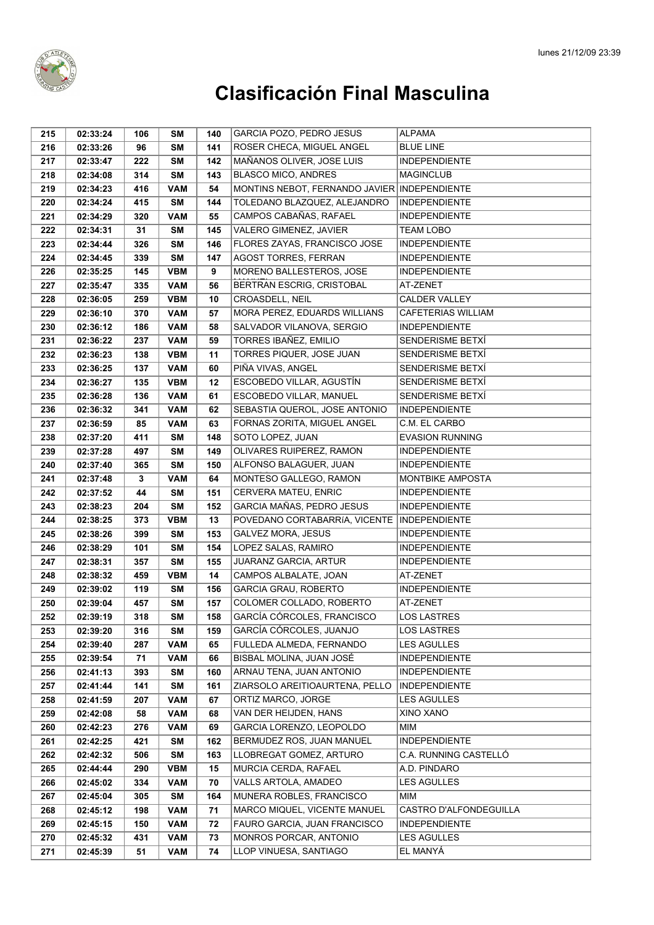

| 215 | 02:33:24 | 106 | SΜ         | 140 | GARCIA POZO, PEDRO JESUS                      | ALPAMA                  |
|-----|----------|-----|------------|-----|-----------------------------------------------|-------------------------|
| 216 | 02:33:26 | 96  | SM         | 141 | ROSER CHECA, MIGUEL ANGEL                     | <b>BLUE LINE</b>        |
| 217 | 02:33:47 | 222 | <b>SM</b>  | 142 | MAÑANOS OLIVER, JOSE LUIS                     | <b>INDEPENDIENTE</b>    |
| 218 | 02:34:08 | 314 | <b>SM</b>  | 143 | <b>BLASCO MICO, ANDRES</b>                    | <b>MAGINCLUB</b>        |
| 219 | 02:34:23 | 416 | <b>VAM</b> | 54  | MONTINS NEBOT, FERNANDO JAVIER INDEPENDIENTE  |                         |
| 220 | 02:34:24 | 415 | <b>SM</b>  | 144 | TOLEDANO BLAZQUEZ, ALEJANDRO                  | <b>INDEPENDIENTE</b>    |
| 221 | 02:34:29 | 320 | <b>VAM</b> | 55  | CAMPOS CABAÑAS, RAFAEL                        | <b>INDEPENDIENTE</b>    |
| 222 | 02:34:31 | 31  | <b>SM</b>  | 145 | VALERO GIMENEZ, JAVIER                        | <b>TEAM LOBO</b>        |
| 223 | 02:34:44 | 326 | <b>SM</b>  | 146 | FLORES ZAYAS, FRANCISCO JOSE                  | <b>INDEPENDIENTE</b>    |
| 224 | 02:34:45 | 339 | <b>SM</b>  | 147 | <b>AGOST TORRES, FERRAN</b>                   | <b>INDEPENDIENTE</b>    |
| 226 | 02:35:25 | 145 | <b>VBM</b> | 9   | MORENO BALLESTEROS, JOSE                      | <b>INDEPENDIENTE</b>    |
| 227 | 02:35:47 | 335 | <b>VAM</b> | 56  | BERTRAN ESCRIG, CRISTOBAL                     | AT-ZENET                |
| 228 | 02:36:05 | 259 | <b>VBM</b> | 10  | CROASDELL, NEIL                               | <b>CALDER VALLEY</b>    |
| 229 | 02:36:10 | 370 | VAM        | 57  | MORA PEREZ, EDUARDS WILLIANS                  | CAFETERIAS WILLIAM      |
| 230 | 02:36:12 | 186 | <b>VAM</b> | 58  | SALVADOR VILANOVA, SERGIO                     | <b>INDEPENDIENTE</b>    |
| 231 | 02:36:22 | 237 | <b>VAM</b> | 59  | TORRES IBAÑEZ, EMILIO                         | SENDERISME BETXÍ        |
| 232 | 02:36:23 | 138 | <b>VBM</b> | 11  | TORRES PIQUER, JOSE JUAN                      | SENDERISME BETXÍ        |
| 233 | 02:36:25 | 137 | <b>VAM</b> | 60  | PIÑA VIVAS, ANGEL                             | SENDERISME BETXÍ        |
| 234 | 02:36:27 | 135 | <b>VBM</b> | 12  | ESCOBEDO VILLAR, AGUSTÍN                      | SENDERISME BETXÍ        |
| 235 | 02:36:28 | 136 | <b>VAM</b> | 61  | <b>ESCOBEDO VILLAR. MANUEL</b>                | SENDERISME BETXÍ        |
| 236 | 02:36:32 | 341 | <b>VAM</b> | 62  | SEBASTIA QUEROL, JOSE ANTONIO                 | <b>INDEPENDIENTE</b>    |
| 237 | 02:36:59 | 85  | <b>VAM</b> | 63  | FORNAS ZORITA, MIGUEL ANGEL                   | C.M. EL CARBO           |
| 238 | 02:37:20 | 411 | <b>SM</b>  | 148 | SOTO LOPEZ, JUAN                              | <b>EVASION RUNNING</b>  |
| 239 | 02:37:28 | 497 | <b>SM</b>  | 149 | OLIVARES RUIPEREZ, RAMON                      | <b>INDEPENDIENTE</b>    |
| 240 | 02:37:40 | 365 | <b>SM</b>  | 150 | ALFONSO BALAGUER, JUAN                        | <b>INDEPENDIENTE</b>    |
| 241 | 02:37:48 | 3   | <b>VAM</b> | 64  | MONTESO GALLEGO, RAMON                        | <b>MONTBIKE AMPOSTA</b> |
| 242 | 02:37:52 | 44  | <b>SM</b>  | 151 | CERVERA MATEU, ENRIC                          | <b>INDEPENDIENTE</b>    |
| 243 | 02:38:23 | 204 | <b>SM</b>  | 152 | GARCIA MAÑAS, PEDRO JESUS                     | <b>INDEPENDIENTE</b>    |
| 244 | 02:38:25 | 373 | <b>VBM</b> | 13  | POVEDANO CORTABARRÍA, VICENTE   INDEPENDIENTE |                         |
| 245 | 02:38:26 | 399 | <b>SM</b>  | 153 | GALVEZ MORA, JESUS                            | <b>INDEPENDIENTE</b>    |
| 246 | 02:38:29 | 101 | <b>SM</b>  | 154 | LOPEZ SALAS, RAMIRO                           | <b>INDEPENDIENTE</b>    |
| 247 | 02:38:31 | 357 | <b>SM</b>  | 155 | JUARANZ GARCIA, ARTUR                         | <b>INDEPENDIENTE</b>    |
| 248 | 02:38:32 | 459 | <b>VBM</b> | 14  | CAMPOS ALBALATE, JOAN                         | AT-ZENET                |
| 249 | 02:39:02 | 119 | <b>SM</b>  | 156 | <b>GARCIA GRAU, ROBERTO</b>                   | <b>INDEPENDIENTE</b>    |
| 250 | 02:39:04 | 457 | <b>SM</b>  | 157 | COLOMER COLLADO, ROBERTO                      | AT-ZENET                |
| 252 | 02:39:19 | 318 | <b>SM</b>  | 158 | GARCÍA CÓRCOLES, FRANCISCO                    | LOS LASTRES             |
| 253 | 02:39:20 | 316 | <b>SM</b>  | 159 | GARCÍA CÓRCOLES, JUANJO                       | <b>LOS LASTRES</b>      |
| 254 | 02:39:40 | 287 | <b>VAM</b> | 65  | FULLEDA ALMEDA, FERNANDO                      | <b>LES AGULLES</b>      |
| 255 | 02:39:54 | 71  | <b>VAM</b> | 66  | BISBAL MOLINA, JUAN JOSÉ                      | <b>INDEPENDIENTE</b>    |
| 256 | 02:41:13 | 393 | <b>SM</b>  | 160 | ARNAU TENA, JUAN ANTONIO                      | <b>INDEPENDIENTE</b>    |
| 257 | 02:41:44 | 141 | <b>SM</b>  | 161 | ZIARSOLO AREITIOAURTENA, PELLO                | <b>INDEPENDIENTE</b>    |
| 258 | 02:41:59 | 207 | <b>VAM</b> | 67  | ORTIZ MARCO, JORGE                            | <b>LES AGULLES</b>      |
| 259 | 02:42:08 | 58  | <b>VAM</b> | 68  | VAN DER HEIJDEN, HANS                         | <b>XINO XANO</b>        |
| 260 | 02:42:23 | 276 | <b>VAM</b> | 69  | GARCIA LORENZO, LEOPOLDO                      | MIM                     |
| 261 | 02:42:25 | 421 | <b>SM</b>  | 162 | BERMUDEZ ROS, JUAN MANUEL                     | <b>INDEPENDIENTE</b>    |
| 262 | 02:42:32 | 506 | <b>SM</b>  | 163 | LLOBREGAT GOMEZ, ARTURO                       | C.A. RUNNING CASTELLO   |
| 265 | 02:44:44 | 290 | <b>VBM</b> | 15  | MURCIA CERDA, RAFAEL                          | A.D. PINDARO            |
| 266 | 02:45:02 | 334 | <b>VAM</b> | 70  | VALLS ARTOLA, AMADEO                          | <b>LES AGULLES</b>      |
| 267 | 02:45:04 | 305 | <b>SM</b>  | 164 | MUNERA ROBLES, FRANCISCO                      | MIM                     |
| 268 | 02:45:12 | 198 | <b>VAM</b> | 71  | MARCO MIQUEL, VICENTE MANUEL                  | CASTRO D'ALFONDEGUILLA  |
| 269 | 02:45:15 | 150 | <b>VAM</b> | 72  | FAURO GARCIA, JUAN FRANCISCO                  | <b>INDEPENDIENTE</b>    |
| 270 | 02:45:32 | 431 | <b>VAM</b> | 73  | MONROS PORCAR, ANTONIO                        | <b>LES AGULLES</b>      |
| 271 | 02:45:39 | 51  | <b>VAM</b> | 74  | LLOP VINUESA, SANTIAGO                        | EL MANYÁ                |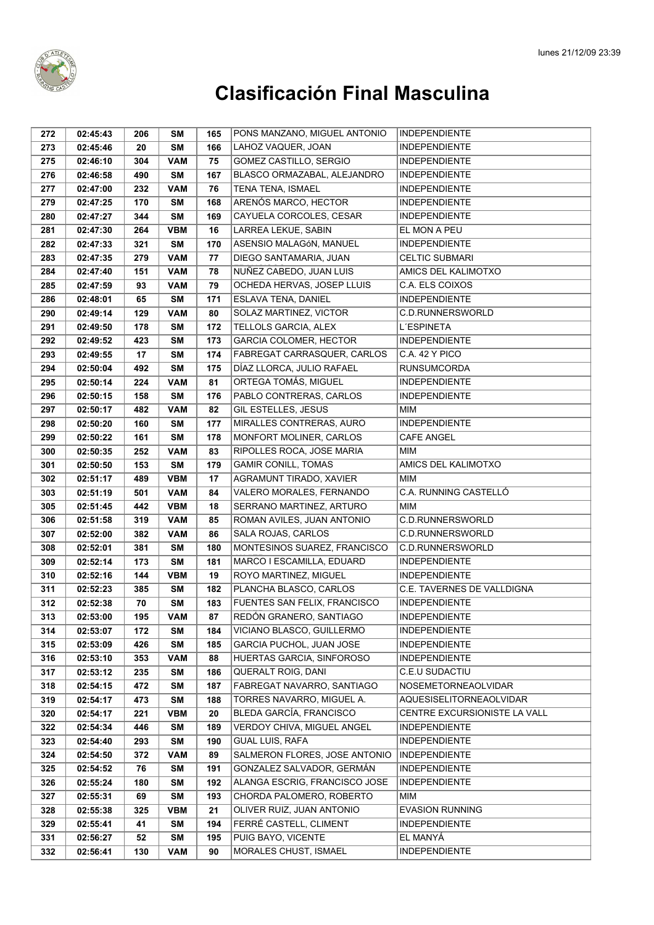

| 272 | 02:45:43 | 206 | SΜ         | 165 | PONS MANZANO, MIGUEL ANTONIO  | <b>INDEPENDIENTE</b>           |
|-----|----------|-----|------------|-----|-------------------------------|--------------------------------|
| 273 | 02:45:46 | 20  | <b>SM</b>  | 166 | LAHOZ VAQUER, JOAN            | <b>INDEPENDIENTE</b>           |
| 275 | 02:46:10 | 304 | <b>VAM</b> | 75  | GOMEZ CASTILLO, SERGIO        | <b>INDEPENDIENTE</b>           |
| 276 | 02:46:58 | 490 | <b>SM</b>  | 167 | BLASCO ORMAZABAL, ALEJANDRO   | <b>INDEPENDIENTE</b>           |
| 277 | 02:47:00 | 232 | <b>VAM</b> | 76  | TENA TENA, ISMAEL             | <b>INDEPENDIENTE</b>           |
| 279 | 02:47:25 | 170 | <b>SM</b>  | 168 | ARENÓS MARCO, HECTOR          | <b>INDEPENDIENTE</b>           |
| 280 | 02:47:27 | 344 | <b>SM</b>  | 169 | CAYUELA CORCOLES, CESAR       | <b>INDEPENDIENTE</b>           |
| 281 | 02:47:30 | 264 | <b>VBM</b> | 16  | LARREA LEKUE, SABIN           | EL MON A PEU                   |
| 282 | 02:47:33 | 321 | <b>SM</b>  | 170 | ASENSIO MALAGÓN, MANUEL       | <b>INDEPENDIENTE</b>           |
| 283 | 02:47:35 | 279 | <b>VAM</b> | 77  | DIEGO SANTAMARIA, JUAN        | <b>CELTIC SUBMARI</b>          |
| 284 | 02:47:40 | 151 | <b>VAM</b> | 78  | NUÑEZ CABEDO, JUAN LUIS       | AMICS DEL KALIMOTXO            |
| 285 | 02:47:59 | 93  | <b>VAM</b> | 79  | OCHEDA HERVAS, JOSEP LLUIS    | C.A. ELS COIXOS                |
| 286 | 02:48:01 | 65  | <b>SM</b>  | 171 | ESLAVA TENA, DANIEL           | <b>INDEPENDIENTE</b>           |
| 290 | 02:49:14 | 129 | <b>VAM</b> | 80  | SOLAZ MARTINEZ, VICTOR        | C.D.RUNNERSWORLD               |
| 291 | 02:49:50 | 178 | <b>SM</b>  | 172 | TELLOLS GARCIA, ALEX          | L'ESPINETA                     |
| 292 | 02:49:52 | 423 | <b>SM</b>  | 173 | GARCIA COLOMER, HECTOR        | <b>INDEPENDIENTE</b>           |
| 293 | 02:49:55 | 17  | <b>SM</b>  | 174 | FABREGAT CARRASQUER, CARLOS   | C.A. 42 Y PICO                 |
| 294 | 02:50:04 | 492 | <b>SM</b>  | 175 | DÍAZ LLORCA, JULIO RAFAEL     | <b>RUNSUMCORDA</b>             |
| 295 | 02:50:14 | 224 | <b>VAM</b> | 81  | ORTEGA TOMÁS, MIGUEL          | <b>INDEPENDIENTE</b>           |
| 296 | 02:50:15 | 158 | <b>SM</b>  | 176 | PABLO CONTRERAS, CARLOS       | <b>INDEPENDIENTE</b>           |
| 297 | 02:50:17 | 482 | <b>VAM</b> | 82  | GIL ESTELLES, JESUS           | <b>MIM</b>                     |
| 298 | 02:50:20 | 160 | SΜ         | 177 | MIRALLES CONTRERAS, AURO      | <b>INDEPENDIENTE</b>           |
| 299 | 02:50:22 | 161 | <b>SM</b>  | 178 | MONFORT MOLINER, CARLOS       | <b>CAFE ANGEL</b>              |
| 300 | 02:50:35 | 252 | <b>VAM</b> | 83  | RIPOLLES ROCA, JOSE MARIA     | <b>MIM</b>                     |
| 301 | 02:50:50 | 153 | <b>SM</b>  | 179 | <b>GAMIR CONILL, TOMAS</b>    | AMICS DEL KALIMOTXO            |
| 302 | 02:51:17 | 489 | <b>VBM</b> | 17  | AGRAMUNT TIRADO, XAVIER       | <b>MIM</b>                     |
| 303 | 02:51:19 | 501 | <b>VAM</b> | 84  | VALERO MORALES, FERNANDO      | C.A. RUNNING CASTELLÓ          |
| 305 | 02:51:45 | 442 | <b>VBM</b> | 18  | SERRANO MARTINEZ, ARTURO      | MIM                            |
| 306 | 02:51:58 | 319 | <b>VAM</b> | 85  | ROMAN AVILES, JUAN ANTONIO    | C.D.RUNNERSWORLD               |
| 307 | 02:52:00 | 382 | <b>VAM</b> | 86  | SALA ROJAS, CARLOS            | C.D.RUNNERSWORLD               |
| 308 | 02:52:01 | 381 | <b>SM</b>  | 180 | MONTESINOS SUAREZ, FRANCISCO  | C.D.RUNNERSWORLD               |
| 309 | 02:52:14 | 173 | <b>SM</b>  | 181 | MARCO I ESCAMILLA, EDUARD     | <b>INDEPENDIENTE</b>           |
| 310 | 02:52:16 | 144 | <b>VBM</b> | 19  | ROYO MARTINEZ, MIGUEL         | <b>INDEPENDIENTE</b>           |
| 311 | 02:52:23 | 385 | <b>SM</b>  | 182 | PLANCHA BLASCO, CARLOS        | C.E. TAVERNES DE VALLDIGNA     |
| 312 | 02:52:38 | 70  | <b>SM</b>  | 183 | FUENTES SAN FELIX, FRANCISCO  | <b>INDEPENDIENTE</b>           |
| 313 | 02:53:00 | 195 | <b>VAM</b> | 87  | REDÓN GRANERO, SANTIAGO       | <b>INDEPENDIENTE</b>           |
| 314 | 02:53:07 | 172 | SM         | 184 | VICIANO BLASCO, GUILLERMO     | <b>INDEPENDIENTE</b>           |
| 315 | 02:53:09 | 426 | <b>SM</b>  | 185 | GARCIA PUCHOL, JUAN JOSE      | <b>INDEPENDIENTE</b>           |
| 316 | 02:53:10 | 353 | <b>VAM</b> | 88  | HUERTAS GARCIA, SINFOROSO     | <b>INDEPENDIENTE</b>           |
| 317 | 02:53:12 | 235 | <b>SM</b>  | 186 | <b>QUERALT ROIG, DANI</b>     | C.E.U SUDACTIU                 |
| 318 | 02:54:15 | 472 | <b>SM</b>  | 187 | FABREGAT NAVARRO, SANTIAGO    | NOSEMETORNEAOLVIDAR            |
| 319 | 02:54:17 | 473 | <b>SM</b>  | 188 | TORRES NAVARRO, MIGUEL A.     | <b>AQUESISELITORNEAOLVIDAR</b> |
| 320 | 02:54:17 | 221 | <b>VBM</b> | 20  | BLEDA GARCÍA, FRANCISCO       | CENTRE EXCURSIONISTE LA VALL   |
| 322 | 02:54:34 | 446 | SΜ         | 189 | VERDOY CHIVA, MIGUEL ANGEL    | <b>INDEPENDIENTE</b>           |
| 323 | 02:54:40 | 293 | <b>SM</b>  | 190 | <b>GUAL LUIS, RAFA</b>        | <b>INDEPENDIENTE</b>           |
| 324 | 02:54:50 | 372 | <b>VAM</b> | 89  | SALMERON FLORES, JOSE ANTONIO | <b>INDEPENDIENTE</b>           |
| 325 | 02:54:52 | 76  | <b>SM</b>  | 191 | GONZALEZ SALVADOR, GERMÁN     | <b>INDEPENDIENTE</b>           |
| 326 | 02:55:24 | 180 | <b>SM</b>  | 192 | ALANGA ESCRIG, FRANCISCO JOSE | <b>INDEPENDIENTE</b>           |
| 327 | 02:55:31 | 69  | <b>SM</b>  | 193 | CHORDA PALOMERO, ROBERTO      | MIM                            |
| 328 | 02:55:38 | 325 | <b>VBM</b> | 21  | OLIVER RUIZ, JUAN ANTONIO     | <b>EVASION RUNNING</b>         |
| 329 | 02:55:41 | 41  | <b>SM</b>  | 194 | FERRÉ CASTELL, CLIMENT        | <b>INDEPENDIENTE</b>           |
| 331 | 02:56:27 | 52  | <b>SM</b>  | 195 | PUIG BAYO, VICENTE            | EL MANYÁ                       |
| 332 | 02:56:41 | 130 | <b>VAM</b> | 90  | MORALES CHUST, ISMAEL         | INDEPENDIENTE                  |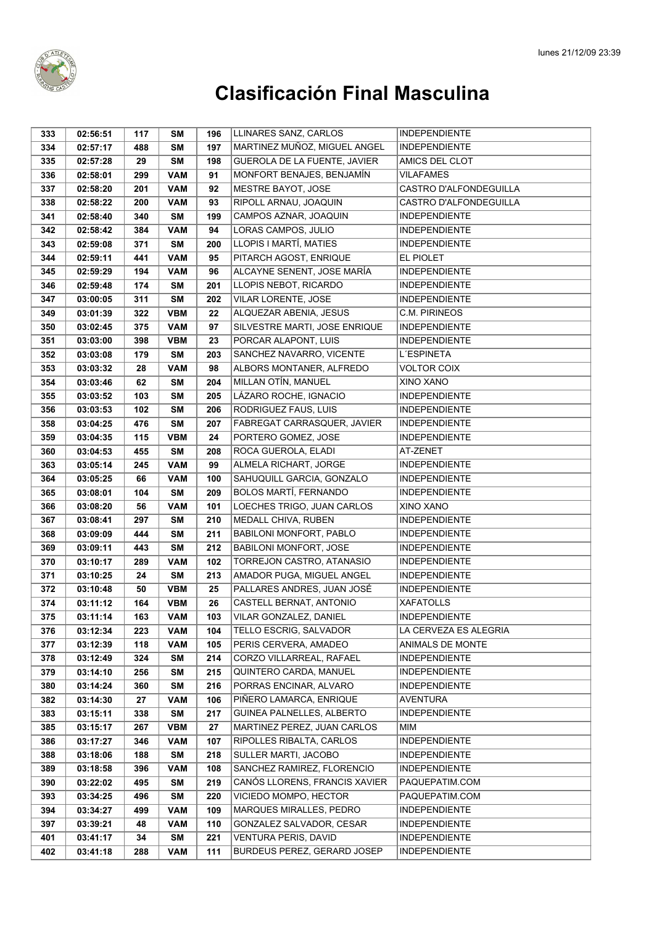

| 333 | 02:56:51 | 117 | SΜ         | 196 | LLINARES SANZ, CARLOS         | <b>INDEPENDIENTE</b>   |
|-----|----------|-----|------------|-----|-------------------------------|------------------------|
| 334 | 02:57:17 | 488 | <b>SM</b>  | 197 | MARTINEZ MUÑOZ, MIGUEL ANGEL  | <b>INDEPENDIENTE</b>   |
| 335 | 02:57:28 | 29  | <b>SM</b>  | 198 | GUEROLA DE LA FUENTE, JAVIER  | AMICS DEL CLOT         |
| 336 | 02:58:01 | 299 | <b>VAM</b> | 91  | MONFORT BENAJES, BENJAMÍN     | <b>VILAFAMES</b>       |
| 337 | 02:58:20 | 201 | <b>VAM</b> | 92  | MESTRE BAYOT, JOSE            | CASTRO D'ALFONDEGUILLA |
| 338 | 02:58:22 | 200 | <b>VAM</b> | 93  | RIPOLL ARNAU, JOAQUIN         | CASTRO D'ALFONDEGUILLA |
| 341 | 02:58:40 | 340 | <b>SM</b>  | 199 | CAMPOS AZNAR, JOAQUIN         | <b>INDEPENDIENTE</b>   |
| 342 | 02:58:42 | 384 | <b>VAM</b> | 94  | LORAS CAMPOS, JULIO           | <b>INDEPENDIENTE</b>   |
| 343 | 02:59:08 | 371 | <b>SM</b>  | 200 | LLOPIS I MARTÍ, MATIES        | <b>INDEPENDIENTE</b>   |
| 344 | 02:59:11 | 441 | <b>VAM</b> | 95  | PITARCH AGOST, ENRIQUE        | EL PIOLET              |
| 345 | 02:59:29 | 194 | <b>VAM</b> | 96  | ALCAYNE SENENT, JOSE MARÍA    | <b>INDEPENDIENTE</b>   |
| 346 | 02:59:48 | 174 | <b>SM</b>  | 201 | LLOPIS NEBOT, RICARDO         | <b>INDEPENDIENTE</b>   |
| 347 | 03:00:05 | 311 | <b>SM</b>  | 202 | VILAR LORENTE, JOSE           | <b>INDEPENDIENTE</b>   |
| 349 | 03:01:39 | 322 | <b>VBM</b> | 22  | ALQUEZAR ABENIA, JESUS        | <b>C.M. PIRINEOS</b>   |
| 350 | 03:02:45 | 375 | <b>VAM</b> | 97  | SILVESTRE MARTI, JOSE ENRIQUE | <b>INDEPENDIENTE</b>   |
| 351 | 03:03:00 | 398 | <b>VBM</b> | 23  | PORCAR ALAPONT, LUIS          | <b>INDEPENDIENTE</b>   |
| 352 | 03:03:08 | 179 | <b>SM</b>  | 203 | SANCHEZ NAVARRO, VICENTE      | L'ESPINETA             |
| 353 | 03:03:32 | 28  | <b>VAM</b> | 98  | ALBORS MONTANER, ALFREDO      | <b>VOLTOR COIX</b>     |
| 354 | 03:03:46 | 62  | <b>SM</b>  | 204 | MILLAN OTÍN, MANUEL           | XINO XANO              |
| 355 | 03:03:52 | 103 | <b>SM</b>  | 205 | LÁZARO ROCHE, IGNACIO         | <b>INDEPENDIENTE</b>   |
| 356 | 03:03:53 | 102 | <b>SM</b>  | 206 | RODRIGUEZ FAUS, LUIS          | <b>INDEPENDIENTE</b>   |
| 358 | 03:04:25 | 476 | <b>SM</b>  | 207 | FABREGAT CARRASQUER, JAVIER   | <b>INDEPENDIENTE</b>   |
| 359 | 03:04:35 | 115 | <b>VBM</b> | 24  | PORTERO GOMEZ, JOSE           | <b>INDEPENDIENTE</b>   |
| 360 | 03:04:53 | 455 | <b>SM</b>  | 208 | ROCA GUEROLA, ELADI           | AT-ZENET               |
| 363 | 03:05:14 | 245 | <b>VAM</b> | 99  | ALMELA RICHART, JORGE         | <b>INDEPENDIENTE</b>   |
| 364 | 03:05:25 | 66  | <b>VAM</b> | 100 | SAHUQUILL GARCIA, GONZALO     | <b>INDEPENDIENTE</b>   |
| 365 | 03:08:01 | 104 | <b>SM</b>  | 209 | <b>BOLOS MARTÍ, FERNANDO</b>  | <b>INDEPENDIENTE</b>   |
| 366 | 03:08:20 | 56  | <b>VAM</b> | 101 | LOECHES TRIGO, JUAN CARLOS    | XINO XANO              |
| 367 | 03:08:41 | 297 | <b>SM</b>  | 210 | MEDALL CHIVA, RUBEN           | <b>INDEPENDIENTE</b>   |
| 368 | 03:09:09 | 444 | <b>SM</b>  | 211 | BABILONI MONFORT, PABLO       | <b>INDEPENDIENTE</b>   |
| 369 | 03:09:11 | 443 | <b>SM</b>  | 212 | <b>BABILONI MONFORT, JOSE</b> | <b>INDEPENDIENTE</b>   |
| 370 | 03:10:17 | 289 | <b>VAM</b> | 102 | TORREJON CASTRO, ATANASIO     | <b>INDEPENDIENTE</b>   |
| 371 | 03:10:25 | 24  | <b>SM</b>  | 213 | AMADOR PUGA, MIGUEL ANGEL     | <b>INDEPENDIENTE</b>   |
| 372 | 03:10:48 | 50  | <b>VBM</b> | 25  | PALLARES ANDRES, JUAN JOSÉ    | <b>INDEPENDIENTE</b>   |
| 374 | 03:11:12 | 164 | <b>VBM</b> | 26  | CASTELL BERNAT, ANTONIO       | <b>XAFATOLLS</b>       |
| 375 | 03:11:14 | 163 | <b>VAM</b> | 103 | VILAR GONZALEZ, DANIEL        | <b>INDEPENDIENTE</b>   |
| 376 | 03:12:34 | 223 | <b>VAM</b> | 104 | TELLO ESCRIG, SALVADOR        | LA CERVEZA ES ALEGRIA  |
| 377 | 03:12:39 | 118 | <b>VAM</b> | 105 | PERIS CERVERA, AMADEO         | ANIMALS DE MONTE       |
| 378 | 03:12:49 | 324 | <b>SM</b>  | 214 | CORZO VILLARREAL, RAFAEL      | <b>INDEPENDIENTE</b>   |
| 379 | 03:14:10 | 256 | <b>SM</b>  | 215 | QUINTERO CARDA, MANUEL        | <b>INDEPENDIENTE</b>   |
| 380 | 03:14:24 | 360 | <b>SM</b>  | 216 | PORRAS ENCINAR, ALVARO        | <b>INDEPENDIENTE</b>   |
| 382 | 03:14:30 | 27  | <b>VAM</b> | 106 | PIÑERO LAMARCA, ENRIQUE       | <b>AVENTURA</b>        |
| 383 | 03:15:11 | 338 | <b>SM</b>  | 217 | GUINEA PALNELLES, ALBERTO     | <b>INDEPENDIENTE</b>   |
| 385 | 03:15:17 | 267 | <b>VBM</b> | 27  | MARTINEZ PEREZ, JUAN CARLOS   | MIM                    |
| 386 | 03:17:27 | 346 | <b>VAM</b> | 107 | RIPOLLES RIBALTA, CARLOS      | <b>INDEPENDIENTE</b>   |
| 388 | 03:18:06 | 188 | SM         | 218 | SULLER MARTI, JACOBO          | <b>INDEPENDIENTE</b>   |
| 389 | 03:18:58 | 396 | <b>VAM</b> | 108 | SANCHEZ RAMIREZ, FLORENCIO    | <b>INDEPENDIENTE</b>   |
| 390 | 03:22:02 | 495 | <b>SM</b>  | 219 | CANÓS LLORENS, FRANCIS XAVIER | PAQUEPATIM.COM         |
| 393 | 03:34:25 | 496 | <b>SM</b>  | 220 | VICIEDO MOMPO, HECTOR         | PAQUEPATIM.COM         |
| 394 | 03:34:27 | 499 | <b>VAM</b> | 109 | MARQUES MIRALLES, PEDRO       | <b>INDEPENDIENTE</b>   |
| 397 | 03:39:21 | 48  | <b>VAM</b> | 110 | GONZALEZ SALVADOR, CESAR      | <b>INDEPENDIENTE</b>   |
| 401 | 03:41:17 | 34  | SM         | 221 | VENTURA PERIS, DAVID          | <b>INDEPENDIENTE</b>   |
| 402 | 03:41:18 | 288 | <b>VAM</b> | 111 | BURDEUS PEREZ, GERARD JOSEP   | <b>INDEPENDIENTE</b>   |